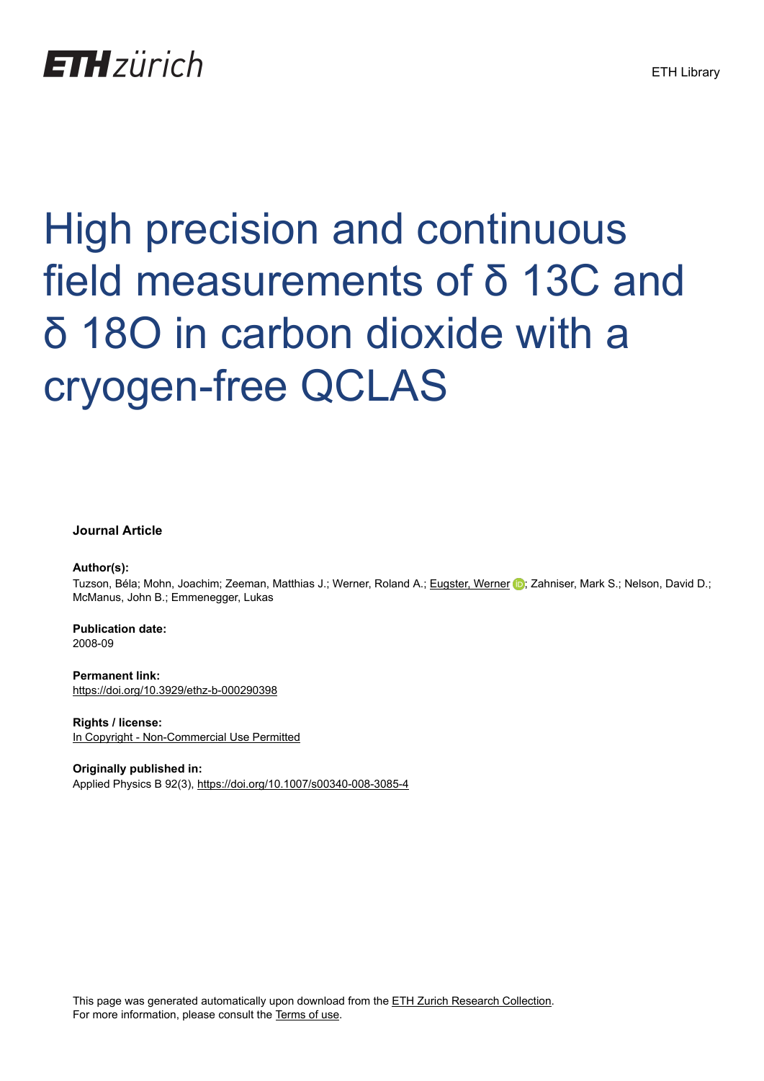## **ETH** zürich

# High precision and continuous field measurements of δ 13C and δ 18O in carbon dioxide with a cryogen-free QCLAS

#### **Journal Article**

#### **Author(s):**

Tuzson, Béla; Mohn, Joachim; Zeeman, Matthias J.; Werner, Roland A.; [Eugster, Werner](https://orcid.org/0000-0001-6067-0741) D; Zahniser, Mark S.; Nelson, David D.; McManus, John B.; Emmenegger, Lukas

**Publication date:** 2008-09

**Permanent link:** <https://doi.org/10.3929/ethz-b-000290398>

**Rights / license:** [In Copyright - Non-Commercial Use Permitted](http://rightsstatements.org/page/InC-NC/1.0/)

**Originally published in:** Applied Physics B 92(3), <https://doi.org/10.1007/s00340-008-3085-4>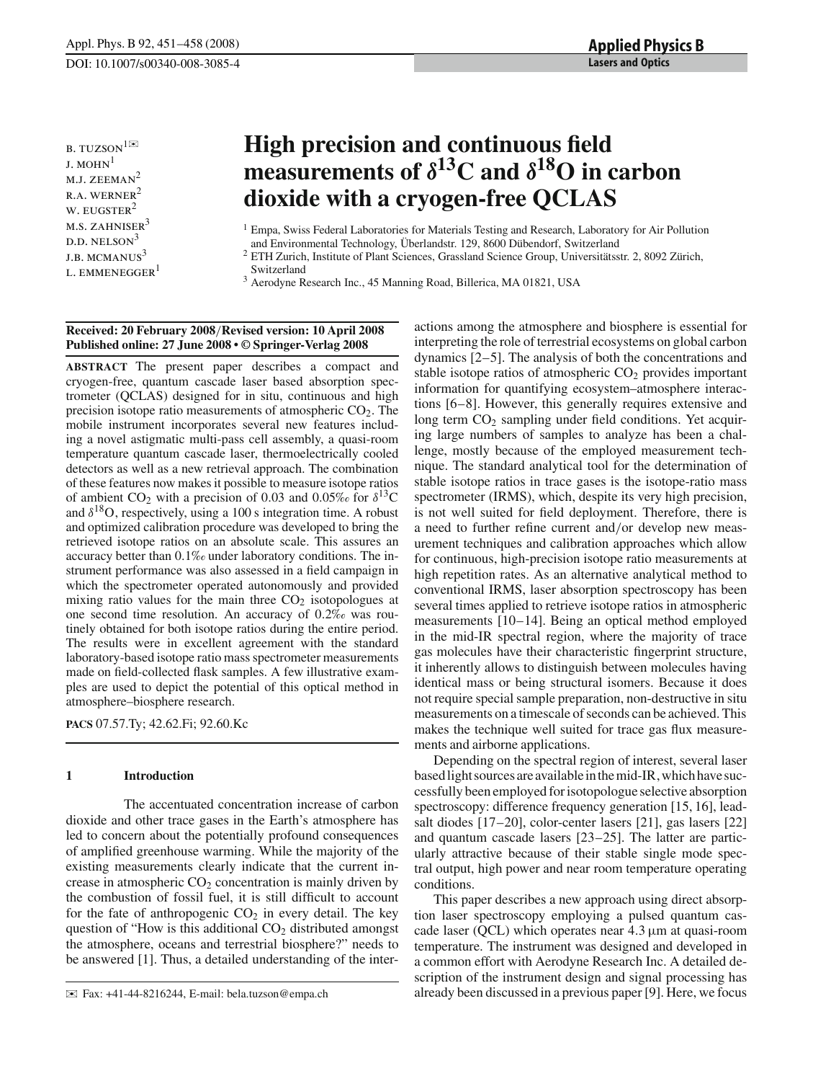**b.** TUZSON<sup>1⊠</sup>  $J.$  MOHN<sup>1</sup> M.J. ZEEMAN<sup>2</sup>  $R.A. WERNER<sup>2</sup>$ W. EUGSTER<sup>2</sup>  $M.S. ZAHNISER<sup>3</sup>$  $D.D. NELSON<sup>3</sup>$ J.B. MCMANUS<sup>3</sup> L. EMMENEGGER<sup>1</sup>

### **High precision and continuous field measurements of** *δ***13C and** *δ***18O in carbon dioxide with a cryogen-free QCLAS**

Switzerland

<sup>3</sup> Aerodyne Research Inc., 45 Manning Road, Billerica, MA 01821, USA

#### **Received: 20 February 2008**/**Revised version: 10 April 2008 Published online: 27 June 2008 • © Springer-Verlag 2008**

**ABSTRACT** The present paper describes a compact and cryogen-free, quantum cascade laser based absorption spectrometer (QCLAS) designed for in situ, continuous and high precision isotope ratio measurements of atmospheric  $CO<sub>2</sub>$ . The mobile instrument incorporates several new features including a novel astigmatic multi-pass cell assembly, a quasi-room temperature quantum cascade laser, thermoelectrically cooled detectors as well as a new retrieval approach. The combination of these features now makes it possible to measure isotope ratios of ambient  $CO_2$  with a precision of 0.03 and 0.05% for  $\delta^{13}C$ and  $\delta^{18}O$ , respectively, using a 100 s integration time. A robust and optimized calibration procedure was developed to bring the retrieved isotope ratios on an absolute scale. This assures an accuracy better than 0.1*‰* under laboratory conditions. The instrument performance was also assessed in a field campaign in which the spectrometer operated autonomously and provided mixing ratio values for the main three  $CO<sub>2</sub>$  isotopologues at one second time resolution. An accuracy of 0.2*‰* was routinely obtained for both isotope ratios during the entire period. The results were in excellent agreement with the standard laboratory-based isotope ratio mass spectrometer measurements made on field-collected flask samples. A few illustrative examples are used to depict the potential of this optical method in atmosphere–biosphere research.

**PACS** 07.57.Ty; 42.62.Fi; 92.60.Kc

#### **1 Introduction**

The accentuated concentration increase of carbon dioxide and other trace gases in the Earth's atmosphere has led to concern about the potentially profound consequences of amplified greenhouse warming. While the majority of the existing measurements clearly indicate that the current increase in atmospheric  $CO<sub>2</sub>$  concentration is mainly driven by the combustion of fossil fuel, it is still difficult to account for the fate of anthropogenic  $CO<sub>2</sub>$  in every detail. The key question of "How is this additional  $CO<sub>2</sub>$  distributed amongst the atmosphere, oceans and terrestrial biosphere?" needs to be answered [1]. Thus, a detailed understanding of the inter-

actions among the atmosphere and biosphere is essential for interpreting the role of terrestrial ecosystems on global carbon dynamics [2–5]. The analysis of both the concentrations and stable isotope ratios of atmospheric  $CO<sub>2</sub>$  provides important information for quantifying ecosystem–atmosphere interactions [6–8]. However, this generally requires extensive and long term  $CO<sub>2</sub>$  sampling under field conditions. Yet acquiring large numbers of samples to analyze has been a challenge, mostly because of the employed measurement technique. The standard analytical tool for the determination of stable isotope ratios in trace gases is the isotope-ratio mass spectrometer (IRMS), which, despite its very high precision, is not well suited for field deployment. Therefore, there is a need to further refine current and/or develop new measurement techniques and calibration approaches which allow for continuous, high-precision isotope ratio measurements at high repetition rates. As an alternative analytical method to conventional IRMS, laser absorption spectroscopy has been several times applied to retrieve isotope ratios in atmospheric measurements [10–14]. Being an optical method employed in the mid-IR spectral region, where the majority of trace gas molecules have their characteristic fingerprint structure, it inherently allows to distinguish between molecules having identical mass or being structural isomers. Because it does not require special sample preparation, non-destructive in situ measurements on a timescale of seconds can be achieved. This makes the technique well suited for trace gas flux measurements and airborne applications.

Depending on the spectral region of interest, several laser based light sources are available in the mid-IR, which have successfully been employed for isotopologue selective absorption spectroscopy: difference frequency generation [15, 16], leadsalt diodes [17–20], color-center lasers [21], gas lasers [22] and quantum cascade lasers [23–25]. The latter are particularly attractive because of their stable single mode spectral output, high power and near room temperature operating conditions.

This paper describes a new approach using direct absorption laser spectroscopy employing a pulsed quantum cascade laser (QCL) which operates near  $4.3 \mu m$  at quasi-room temperature. The instrument was designed and developed in a common effort with Aerodyne Research Inc. A detailed description of the instrument design and signal processing has already been discussed in a previous paper [9]. Here, we focus

<sup>&</sup>lt;sup>1</sup> Empa, Swiss Federal Laboratories for Materials Testing and Research, Laboratory for Air Pollution and Environmental Technology, Überlandstr. 129, 8600 Dübendorf, Switzerland

<sup>&</sup>lt;sup>2</sup> ETH Zurich, Institute of Plant Sciences, Grassland Science Group, Universitätsstr. 2, 8092 Zürich,

<sup>✉</sup> Fax: +41-44-8216244, E-mail: bela.tuzson@empa.ch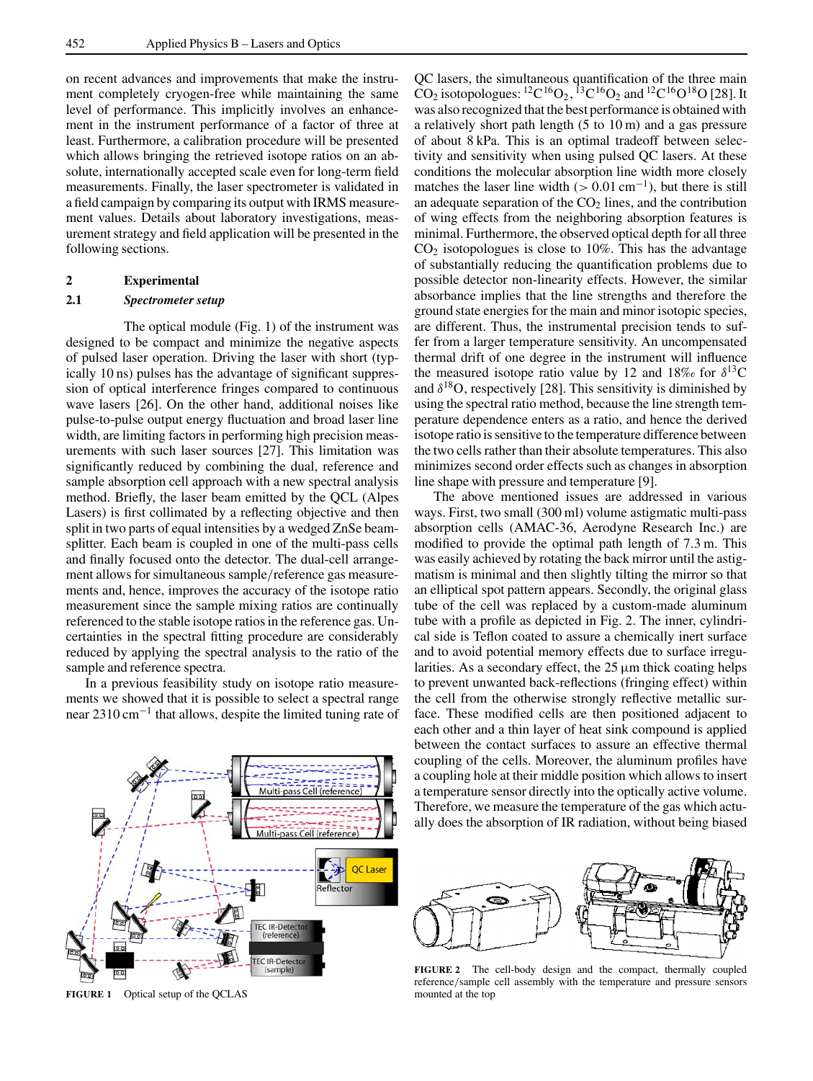on recent advances and improvements that make the instrument completely cryogen-free while maintaining the same level of performance. This implicitly involves an enhancement in the instrument performance of a factor of three at least. Furthermore, a calibration procedure will be presented which allows bringing the retrieved isotope ratios on an absolute, internationally accepted scale even for long-term field measurements. Finally, the laser spectrometer is validated in a field campaign by comparing its output with IRMS measurement values. Details about laboratory investigations, measurement strategy and field application will be presented in the following sections.

#### **2 Experimental**

#### **2.1** *Spectrometer setup*

The optical module (Fig. 1) of the instrument was designed to be compact and minimize the negative aspects of pulsed laser operation. Driving the laser with short (typically 10 ns) pulses has the advantage of significant suppression of optical interference fringes compared to continuous wave lasers [26]. On the other hand, additional noises like pulse-to-pulse output energy fluctuation and broad laser line width, are limiting factors in performing high precision measurements with such laser sources [27]. This limitation was significantly reduced by combining the dual, reference and sample absorption cell approach with a new spectral analysis method. Briefly, the laser beam emitted by the QCL (Alpes Lasers) is first collimated by a reflecting objective and then split in two parts of equal intensities by a wedged ZnSe beamsplitter. Each beam is coupled in one of the multi-pass cells and finally focused onto the detector. The dual-cell arrangement allows for simultaneous sample/reference gas measurements and, hence, improves the accuracy of the isotope ratio measurement since the sample mixing ratios are continually referenced to the stable isotope ratios in the reference gas. Uncertainties in the spectral fitting procedure are considerably reduced by applying the spectral analysis to the ratio of the sample and reference spectra.

In a previous feasibility study on isotope ratio measurements we showed that it is possible to select a spectral range near 2310 cm<sup>-1</sup> that allows, despite the limited tuning rate of



**FIGURE 1** Optical setup of the QCLAS

QC lasers, the simultaneous quantification of the three main  $CO_2$  isotopologues: <sup>12</sup>C<sup>16</sup>O<sub>2</sub>, <sup>13</sup>C<sup>16</sup>O<sub>2</sub> and <sup>12</sup>C<sup>16</sup>O<sup>18</sup>O [28]. It was also recognized that the best performance is obtained with a relatively short path length (5 to 10 m) and a gas pressure of about 8 kPa. This is an optimal tradeoff between selectivity and sensitivity when using pulsed QC lasers. At these conditions the molecular absorption line width more closely matches the laser line width ( $> 0.01$  cm<sup>-1</sup>), but there is still an adequate separation of the  $CO<sub>2</sub>$  lines, and the contribution of wing effects from the neighboring absorption features is minimal. Furthermore, the observed optical depth for all three  $CO<sub>2</sub>$  isotopologues is close to 10%. This has the advantage of substantially reducing the quantification problems due to possible detector non-linearity effects. However, the similar absorbance implies that the line strengths and therefore the ground state energies for the main and minor isotopic species, are different. Thus, the instrumental precision tends to suffer from a larger temperature sensitivity. An uncompensated thermal drift of one degree in the instrument will influence the measured isotope ratio value by 12 and  $18\%$  for  $\delta^{13}$ C and  $\delta^{18}$ O, respectively [28]. This sensitivity is diminished by using the spectral ratio method, because the line strength temperature dependence enters as a ratio, and hence the derived isotope ratio is sensitive to the temperature difference between the two cells rather than their absolute temperatures. This also minimizes second order effects such as changes in absorption line shape with pressure and temperature [9].

The above mentioned issues are addressed in various ways. First, two small (300 ml) volume astigmatic multi-pass absorption cells (AMAC-36, Aerodyne Research Inc.) are modified to provide the optimal path length of 7.3 m. This was easily achieved by rotating the back mirror until the astigmatism is minimal and then slightly tilting the mirror so that an elliptical spot pattern appears. Secondly, the original glass tube of the cell was replaced by a custom-made aluminum tube with a profile as depicted in Fig. 2. The inner, cylindrical side is Teflon coated to assure a chemically inert surface and to avoid potential memory effects due to surface irregularities. As a secondary effect, the  $25 \mu m$  thick coating helps to prevent unwanted back-reflections (fringing effect) within the cell from the otherwise strongly reflective metallic surface. These modified cells are then positioned adjacent to each other and a thin layer of heat sink compound is applied between the contact surfaces to assure an effective thermal coupling of the cells. Moreover, the aluminum profiles have a coupling hole at their middle position which allows to insert a temperature sensor directly into the optically active volume. Therefore, we measure the temperature of the gas which actually does the absorption of IR radiation, without being biased



**FIGURE 2** The cell-body design and the compact, thermally coupled reference/sample cell assembly with the temperature and pressure sensors mounted at the top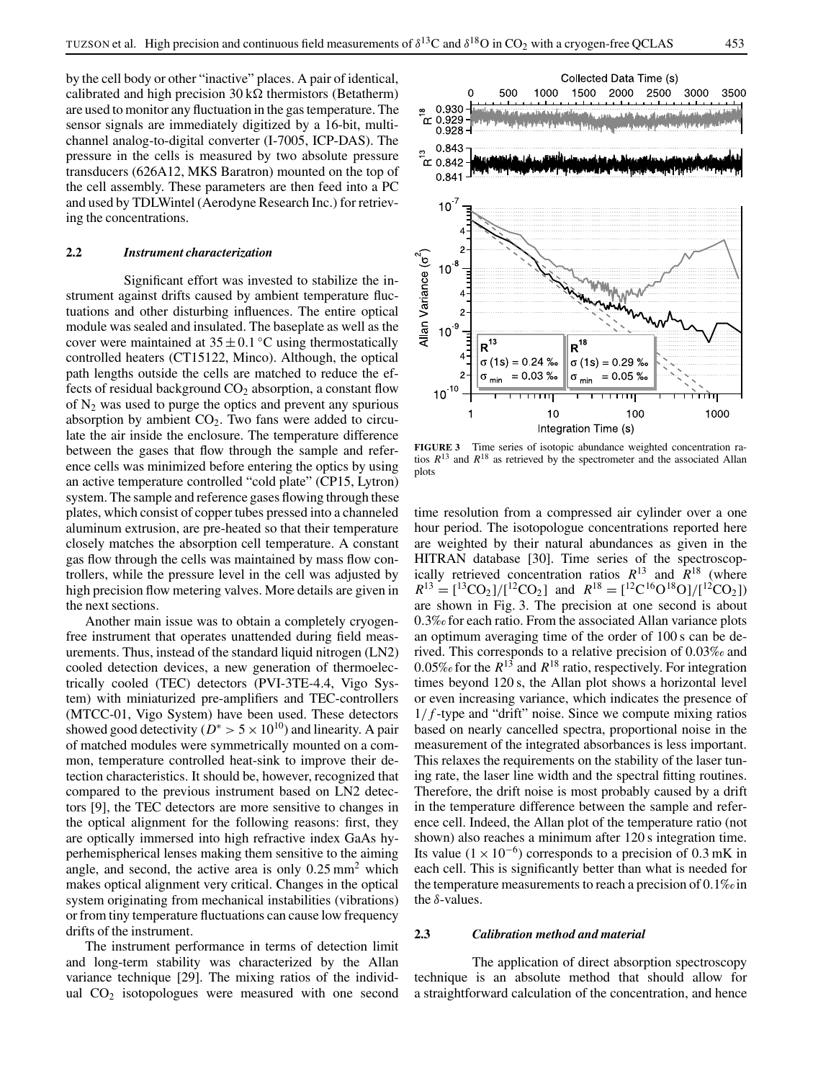by the cell body or other "inactive" places. A pair of identical, calibrated and high precision  $30 \text{ k}\Omega$  thermistors (Betatherm) are used to monitor any fluctuation in the gas temperature. The sensor signals are immediately digitized by a 16-bit, multichannel analog-to-digital converter (I-7005, ICP-DAS). The pressure in the cells is measured by two absolute pressure transducers (626A12, MKS Baratron) mounted on the top of the cell assembly. These parameters are then feed into a PC and used by TDLWintel (Aerodyne Research Inc.) for retrieving the concentrations.

#### **2.2** *Instrument characterization*

Significant effort was invested to stabilize the instrument against drifts caused by ambient temperature fluctuations and other disturbing influences. The entire optical module was sealed and insulated. The baseplate as well as the cover were maintained at  $35 \pm 0.1$  °C using thermostatically controlled heaters (CT15122, Minco). Although, the optical path lengths outside the cells are matched to reduce the effects of residual background  $CO<sub>2</sub>$  absorption, a constant flow of  $N_2$  was used to purge the optics and prevent any spurious absorption by ambient  $CO<sub>2</sub>$ . Two fans were added to circulate the air inside the enclosure. The temperature difference between the gases that flow through the sample and reference cells was minimized before entering the optics by using an active temperature controlled "cold plate" (CP15, Lytron) system. The sample and reference gases flowing through these plates, which consist of copper tubes pressed into a channeled aluminum extrusion, are pre-heated so that their temperature closely matches the absorption cell temperature. A constant gas flow through the cells was maintained by mass flow controllers, while the pressure level in the cell was adjusted by high precision flow metering valves. More details are given in the next sections.

Another main issue was to obtain a completely cryogenfree instrument that operates unattended during field measurements. Thus, instead of the standard liquid nitrogen (LN2) cooled detection devices, a new generation of thermoelectrically cooled (TEC) detectors (PVI-3TE-4.4, Vigo System) with miniaturized pre-amplifiers and TEC-controllers (MTCC-01, Vigo System) have been used. These detectors showed good detectivity ( $D^* > 5 \times 10^{10}$ ) and linearity. A pair of matched modules were symmetrically mounted on a common, temperature controlled heat-sink to improve their detection characteristics. It should be, however, recognized that compared to the previous instrument based on LN2 detectors [9], the TEC detectors are more sensitive to changes in the optical alignment for the following reasons: first, they are optically immersed into high refractive index GaAs hyperhemispherical lenses making them sensitive to the aiming angle, and second, the active area is only  $0.25 \text{ mm}^2$  which makes optical alignment very critical. Changes in the optical system originating from mechanical instabilities (vibrations) or from tiny temperature fluctuations can cause low frequency drifts of the instrument.

The instrument performance in terms of detection limit and long-term stability was characterized by the Allan variance technique [29]. The mixing ratios of the individual  $CO<sub>2</sub>$  isotopologues were measured with one second



**FIGURE 3** Time series of isotopic abundance weighted concentration ratios  $R^{13}$  and  $R^{18}$  as retrieved by the spectrometer and the associated Allan plots

time resolution from a compressed air cylinder over a one hour period. The isotopologue concentrations reported here are weighted by their natural abundances as given in the HITRAN database [30]. Time series of the spectroscopically retrieved concentration ratios  $R^{13}$  and  $R^{18}$  (where  $R^{13} = \frac{[^{13}CO_2]}{[^{12}CO_2]}$  and  $R^{18} = \frac{[^{12}C^{16}O^{18}O]}{[^{12}CO_2]}$ are shown in Fig. 3. The precision at one second is about 0.3*‰* for each ratio. From the associated Allan variance plots an optimum averaging time of the order of 100 s can be derived. This corresponds to a relative precision of 0.03*‰* and 0.05‰ for the  $R^{13}$  and  $R^{18}$  ratio, respectively. For integration times beyond 120 s, the Allan plot shows a horizontal level or even increasing variance, which indicates the presence of  $1/f$ -type and "drift" noise. Since we compute mixing ratios based on nearly cancelled spectra, proportional noise in the measurement of the integrated absorbances is less important. This relaxes the requirements on the stability of the laser tuning rate, the laser line width and the spectral fitting routines. Therefore, the drift noise is most probably caused by a drift in the temperature difference between the sample and reference cell. Indeed, the Allan plot of the temperature ratio (not shown) also reaches a minimum after 120 s integration time. Its value ( $1 \times 10^{-6}$ ) corresponds to a precision of 0.3 mK in each cell. This is significantly better than what is needed for the temperature measurements to reach a precision of 0.1*‰*in the  $\delta$ -values.

#### **2.3** *Calibration method and material*

The application of direct absorption spectroscopy technique is an absolute method that should allow for a straightforward calculation of the concentration, and hence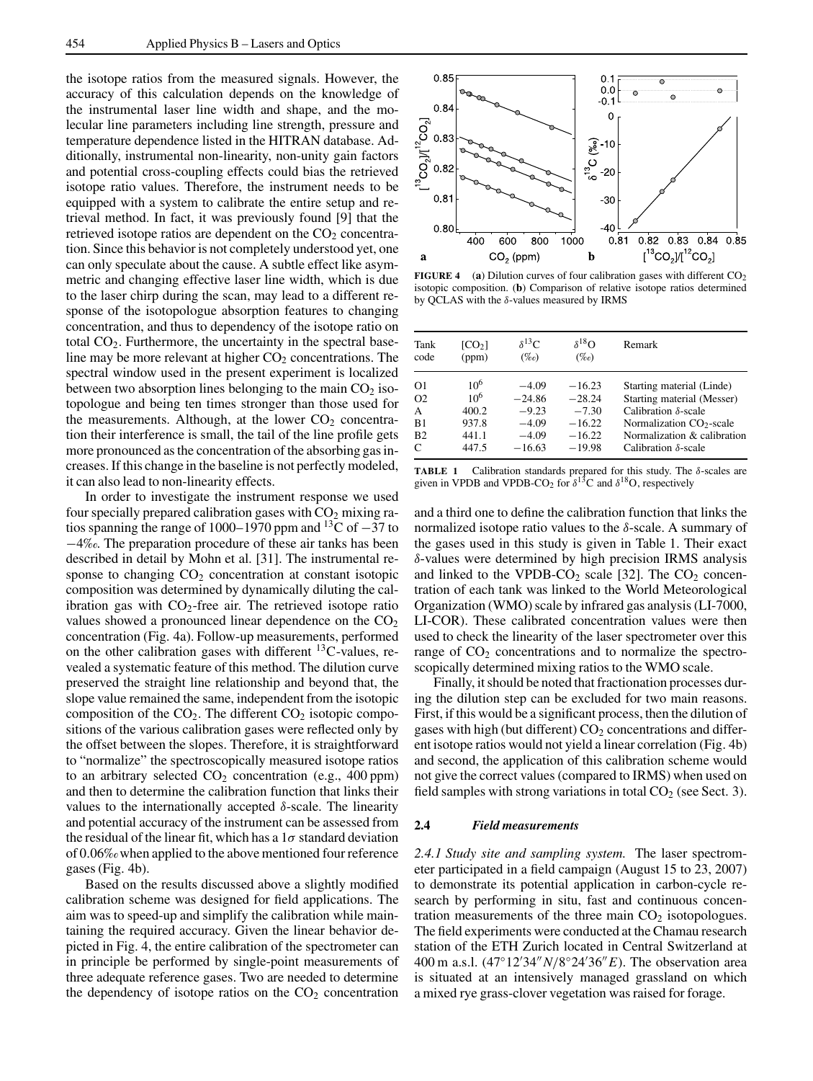the isotope ratios from the measured signals. However, the accuracy of this calculation depends on the knowledge of the instrumental laser line width and shape, and the molecular line parameters including line strength, pressure and temperature dependence listed in the HITRAN database. Additionally, instrumental non-linearity, non-unity gain factors and potential cross-coupling effects could bias the retrieved isotope ratio values. Therefore, the instrument needs to be equipped with a system to calibrate the entire setup and retrieval method. In fact, it was previously found [9] that the retrieved isotope ratios are dependent on the  $CO<sub>2</sub>$  concentration. Since this behavior is not completely understood yet, one can only speculate about the cause. A subtle effect like asymmetric and changing effective laser line width, which is due to the laser chirp during the scan, may lead to a different response of the isotopologue absorption features to changing concentration, and thus to dependency of the isotope ratio on total  $CO<sub>2</sub>$ . Furthermore, the uncertainty in the spectral baseline may be more relevant at higher  $CO<sub>2</sub>$  concentrations. The spectral window used in the present experiment is localized between two absorption lines belonging to the main  $CO<sub>2</sub>$  isotopologue and being ten times stronger than those used for the measurements. Although, at the lower  $CO<sub>2</sub>$  concentration their interference is small, the tail of the line profile gets more pronounced as the concentration of the absorbing gas increases. If this change in the baseline is not perfectly modeled, it can also lead to non-linearity effects.

In order to investigate the instrument response we used four specially prepared calibration gases with  $CO<sub>2</sub>$  mixing ratios spanning the range of 1000–1970 ppm and <sup>13</sup>C of −37 to −4*‰*. The preparation procedure of these air tanks has been described in detail by Mohn et al. [31]. The instrumental response to changing  $CO<sub>2</sub>$  concentration at constant isotopic composition was determined by dynamically diluting the calibration gas with  $CO<sub>2</sub>$ -free air. The retrieved isotope ratio values showed a pronounced linear dependence on the  $CO<sub>2</sub>$ concentration (Fig. 4a). Follow-up measurements, performed on the other calibration gases with different  ${}^{13}$ C-values, revealed a systematic feature of this method. The dilution curve preserved the straight line relationship and beyond that, the slope value remained the same, independent from the isotopic composition of the  $CO<sub>2</sub>$ . The different  $CO<sub>2</sub>$  isotopic compositions of the various calibration gases were reflected only by the offset between the slopes. Therefore, it is straightforward to "normalize" the spectroscopically measured isotope ratios to an arbitrary selected  $CO<sub>2</sub>$  concentration (e.g., 400 ppm) and then to determine the calibration function that links their values to the internationally accepted δ-scale. The linearity and potential accuracy of the instrument can be assessed from the residual of the linear fit, which has a  $1\sigma$  standard deviation of 0.06*‰*when applied to the above mentioned four reference gases (Fig. 4b).

Based on the results discussed above a slightly modified calibration scheme was designed for field applications. The aim was to speed-up and simplify the calibration while maintaining the required accuracy. Given the linear behavior depicted in Fig. 4, the entire calibration of the spectrometer can in principle be performed by single-point measurements of three adequate reference gases. Two are needed to determine the dependency of isotope ratios on the  $CO<sub>2</sub>$  concentration



**FIGURE 4** (a) Dilution curves of four calibration gases with different  $CO<sub>2</sub>$ isotopic composition. (**b**) Comparison of relative isotope ratios determined by QCLAS with the δ-values measured by IRMS

| Tank           | [CO <sub>2</sub> ] | $\delta^{13}C$ | $\delta^{18}$ O | Remark                               |
|----------------|--------------------|----------------|-----------------|--------------------------------------|
| code           | (ppm)              | $(\%o)$        | $(\%o)$         |                                      |
| O <sub>1</sub> | $10^{6}$           | $-4.09$        | $-16.23$        | Starting material (Linde)            |
| O <sub>2</sub> | 10 <sup>6</sup>    | $-24.86$       | $-28.24$        | Starting material (Messer)           |
| A              | 400.2              | $-9.23$        | $-7.30$         | Calibration $\delta$ -scale          |
| B1             | 937.8              | $-4.09$        | $-16.22$        | Normalization CO <sub>2</sub> -scale |
| B <sub>2</sub> | 441.1              | $-4.09$        | $-16.22$        | Normalization & calibration          |
| C              | 447.5              | $-16.63$       | $-19.98$        | Calibration $\delta$ -scale          |

**TABLE 1** Calibration standards prepared for this study. The  $\delta$ -scales are given in VPDB and VPDB-CO<sub>2</sub> for  $\delta^{13}$ C and  $\delta^{18}$ O, respectively

and a third one to define the calibration function that links the normalized isotope ratio values to the  $\delta$ -scale. A summary of the gases used in this study is given in Table 1. Their exact δ-values were determined by high precision IRMS analysis and linked to the VPDB-CO<sub>2</sub> scale [32]. The  $CO_2$  concentration of each tank was linked to the World Meteorological Organization (WMO) scale by infrared gas analysis (LI-7000, LI-COR). These calibrated concentration values were then used to check the linearity of the laser spectrometer over this range of  $CO<sub>2</sub>$  concentrations and to normalize the spectroscopically determined mixing ratios to the WMO scale.

Finally, it should be noted that fractionation processes during the dilution step can be excluded for two main reasons. First, if this would be a significant process, then the dilution of gases with high (but different)  $CO<sub>2</sub>$  concentrations and different isotope ratios would not yield a linear correlation (Fig. 4b) and second, the application of this calibration scheme would not give the correct values (compared to IRMS) when used on field samples with strong variations in total  $CO<sub>2</sub>$  (see Sect. 3).

#### **2.4** *Field measurements*

*2.4.1 Study site and sampling system.* The laser spectrometer participated in a field campaign (August 15 to 23, 2007) to demonstrate its potential application in carbon-cycle research by performing in situ, fast and continuous concentration measurements of the three main  $CO<sub>2</sub>$  isotopologues. The field experiments were conducted at the Chamau research station of the ETH Zurich located in Central Switzerland at 400 m a.s.l. (47°12′34" N/8°24′36" E). The observation area is situated at an intensively managed grassland on which a mixed rye grass-clover vegetation was raised for forage.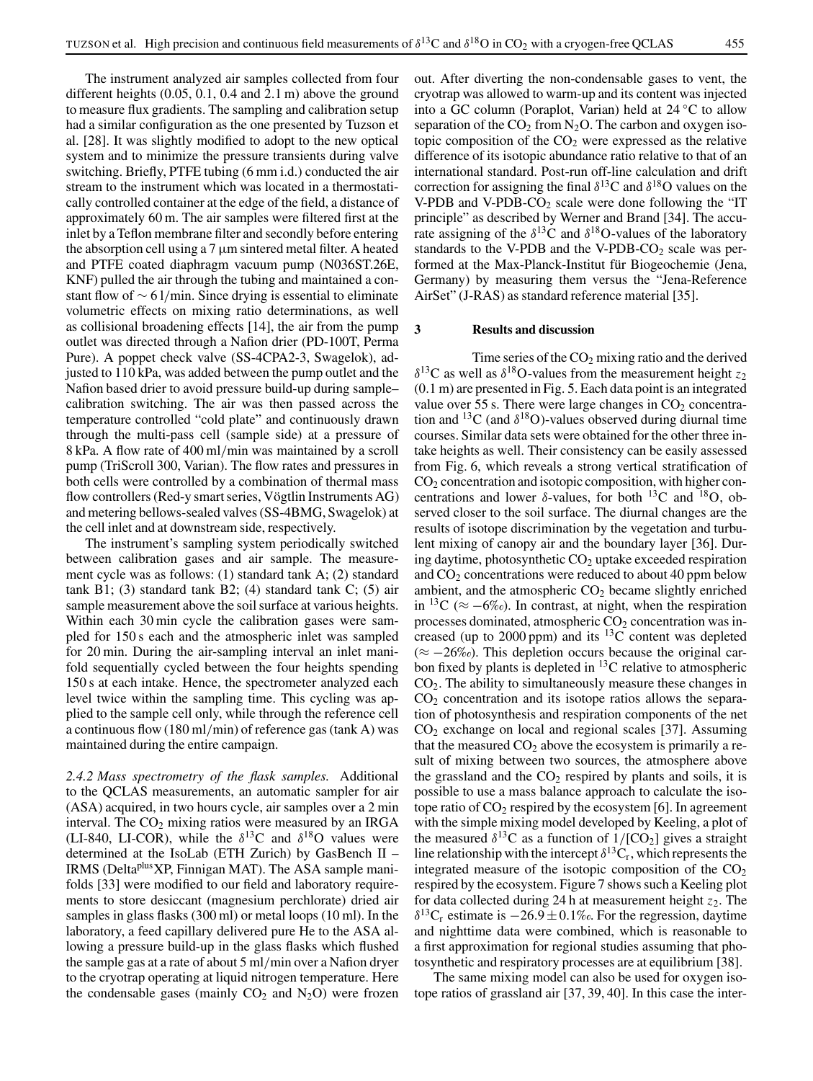The instrument analyzed air samples collected from four different heights (0.05, 0.1, 0.4 and 2.1 m) above the ground to measure flux gradients. The sampling and calibration setup had a similar configuration as the one presented by Tuzson et al. [28]. It was slightly modified to adopt to the new optical system and to minimize the pressure transients during valve switching. Briefly, PTFE tubing (6 mm i.d.) conducted the air stream to the instrument which was located in a thermostatically controlled container at the edge of the field, a distance of approximately 60 m. The air samples were filtered first at the inlet by a Teflon membrane filter and secondly before entering the absorption cell using a  $7 \mu m$  sintered metal filter. A heated and PTFE coated diaphragm vacuum pump (N036ST.26E, KNF) pulled the air through the tubing and maintained a constant flow of ∼ 6 l/min. Since drying is essential to eliminate volumetric effects on mixing ratio determinations, as well as collisional broadening effects [14], the air from the pump outlet was directed through a Nafion drier (PD-100T, Perma Pure). A poppet check valve (SS-4CPA2-3, Swagelok), adjusted to 110 kPa, was added between the pump outlet and the Nafion based drier to avoid pressure build-up during sample– calibration switching. The air was then passed across the temperature controlled "cold plate" and continuously drawn through the multi-pass cell (sample side) at a pressure of 8 kPa. A flow rate of 400 ml/min was maintained by a scroll pump (TriScroll 300, Varian). The flow rates and pressures in both cells were controlled by a combination of thermal mass flow controllers (Red-y smart series, Vögtlin Instruments AG) and metering bellows-sealed valves (SS-4BMG, Swagelok) at the cell inlet and at downstream side, respectively.

The instrument's sampling system periodically switched between calibration gases and air sample. The measurement cycle was as follows: (1) standard tank A; (2) standard tank B1; (3) standard tank B2; (4) standard tank C; (5) air sample measurement above the soil surface at various heights. Within each 30 min cycle the calibration gases were sampled for 150 s each and the atmospheric inlet was sampled for 20 min. During the air-sampling interval an inlet manifold sequentially cycled between the four heights spending 150 s at each intake. Hence, the spectrometer analyzed each level twice within the sampling time. This cycling was applied to the sample cell only, while through the reference cell a continuous flow (180 ml/min) of reference gas (tank A) was maintained during the entire campaign.

*2.4.2 Mass spectrometry of the flask samples.* Additional to the QCLAS measurements, an automatic sampler for air (ASA) acquired, in two hours cycle, air samples over a 2 min interval. The  $CO<sub>2</sub>$  mixing ratios were measured by an IRGA (LI-840, LI-COR), while the  $\delta^{13}$ C and  $\delta^{18}$ O values were determined at the IsoLab (ETH Zurich) by GasBench II – IRMS (DeltaplusXP, Finnigan MAT). The ASA sample manifolds [33] were modified to our field and laboratory requirements to store desiccant (magnesium perchlorate) dried air samples in glass flasks (300 ml) or metal loops (10 ml). In the laboratory, a feed capillary delivered pure He to the ASA allowing a pressure build-up in the glass flasks which flushed the sample gas at a rate of about 5 ml/min over a Nafion dryer to the cryotrap operating at liquid nitrogen temperature. Here the condensable gases (mainly  $CO<sub>2</sub>$  and  $N<sub>2</sub>O$ ) were frozen

out. After diverting the non-condensable gases to vent, the cryotrap was allowed to warm-up and its content was injected into a GC column (Poraplot, Varian) held at 24 ◦C to allow separation of the  $CO<sub>2</sub>$  from N<sub>2</sub>O. The carbon and oxygen isotopic composition of the  $CO<sub>2</sub>$  were expressed as the relative difference of its isotopic abundance ratio relative to that of an international standard. Post-run off-line calculation and drift correction for assigning the final  $\delta^{13}$ C and  $\delta^{18}$ O values on the V-PDB and V-PDB-CO<sub>2</sub> scale were done following the "IT principle" as described by Werner and Brand [34]. The accurate assigning of the  $\delta^{13}$ C and  $\delta^{18}$ O-values of the laboratory standards to the V-PDB and the V-PDB-CO<sub>2</sub> scale was performed at the Max-Planck-Institut für Biogeochemie (Jena, Germany) by measuring them versus the "Jena-Reference AirSet" (J-RAS) as standard reference material [35].

#### **3 Results and discussion**

Time series of the  $CO<sub>2</sub>$  mixing ratio and the derived  $\delta^{13}$ C as well as  $\delta^{18}$ O-values from the measurement height  $z_2$ (0.1 m) are presented in Fig. 5. Each data point is an integrated value over 55 s. There were large changes in  $CO<sub>2</sub>$  concentration and <sup>13</sup>C (and  $\delta$ <sup>18</sup>O)-values observed during diurnal time courses. Similar data sets were obtained for the other three intake heights as well. Their consistency can be easily assessed from Fig. 6, which reveals a strong vertical stratification of  $CO<sub>2</sub>$  concentration and isotopic composition, with higher concentrations and lower  $\delta$ -values, for both <sup>13</sup>C and <sup>18</sup>O, observed closer to the soil surface. The diurnal changes are the results of isotope discrimination by the vegetation and turbulent mixing of canopy air and the boundary layer [36]. During daytime, photosynthetic  $CO<sub>2</sub>$  uptake exceeded respiration and  $CO<sub>2</sub>$  concentrations were reduced to about 40 ppm below ambient, and the atmospheric  $CO<sub>2</sub>$  became slightly enriched in <sup>13</sup>C (≈  $-6\%$ ). In contrast, at night, when the respiration processes dominated, atmospheric  $CO<sub>2</sub>$  concentration was increased (up to 2000 ppm) and its  ${}^{13}$ C content was depleted (≈ −26*‰*). This depletion occurs because the original carbon fixed by plants is depleted in  $^{13}$ C relative to atmospheric CO2. The ability to simultaneously measure these changes in  $CO<sub>2</sub>$  concentration and its isotope ratios allows the separation of photosynthesis and respiration components of the net  $CO<sub>2</sub>$  exchange on local and regional scales [37]. Assuming that the measured  $CO<sub>2</sub>$  above the ecosystem is primarily a result of mixing between two sources, the atmosphere above the grassland and the  $CO<sub>2</sub>$  respired by plants and soils, it is possible to use a mass balance approach to calculate the isotope ratio of  $CO_2$  respired by the ecosystem [6]. In agreement with the simple mixing model developed by Keeling, a plot of the measured  $\delta^{13}$ C as a function of  $1/[CO_2]$  gives a straight line relationship with the intercept  $\delta^{13}C_r$ , which represents the integrated measure of the isotopic composition of the  $CO<sub>2</sub>$ respired by the ecosystem. Figure 7 shows such a Keeling plot for data collected during 24 h at measurement height  $z_2$ . The  $\delta^{13}C_r$  estimate is  $-26.9 \pm 0.1\%$ . For the regression, daytime and nighttime data were combined, which is reasonable to a first approximation for regional studies assuming that photosynthetic and respiratory processes are at equilibrium [38].

The same mixing model can also be used for oxygen isotope ratios of grassland air [37, 39, 40]. In this case the inter-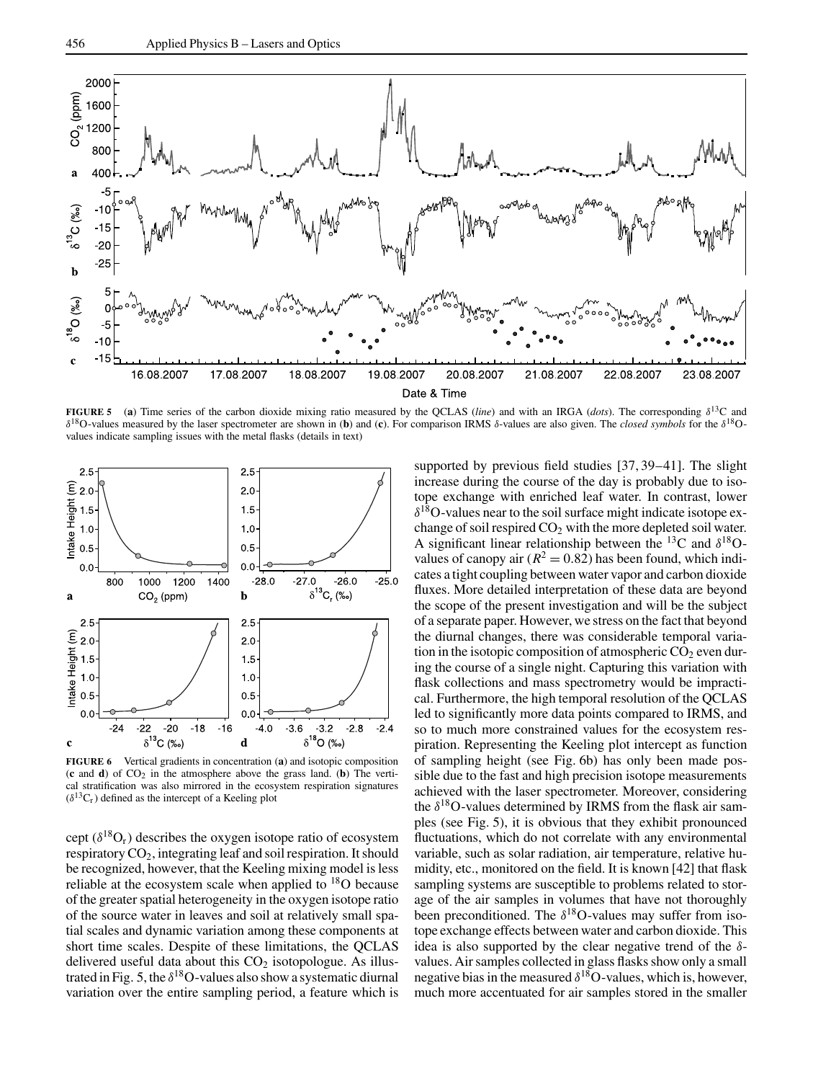

**FIGURE 5** (**a**) Time series of the carbon dioxide mixing ratio measured by the QCLAS (*line*) and with an IRGA (*dots*). The corresponding δ13C and δ18O-values measured by the laser spectrometer are shown in (**b**) and (**c**). For comparison IRMS δ-values are also given. The *closed symbols* for the δ18Ovalues indicate sampling issues with the metal flasks (details in text)



**FIGURE 6** Vertical gradients in concentration (**a**) and isotopic composition (**c** and **d**) of CO2 in the atmosphere above the grass land. (**b**) The vertical stratification was also mirrored in the ecosystem respiration signatures  $(\delta^{13}C_r)$  defined as the intercept of a Keeling plot

cept  $(\delta^{18}O_r)$  describes the oxygen isotope ratio of ecosystem respiratory  $CO<sub>2</sub>$ , integrating leaf and soil respiration. It should be recognized, however, that the Keeling mixing model is less reliable at the ecosystem scale when applied to  $18$ O because of the greater spatial heterogeneity in the oxygen isotope ratio of the source water in leaves and soil at relatively small spatial scales and dynamic variation among these components at short time scales. Despite of these limitations, the QCLAS delivered useful data about this  $CO<sub>2</sub>$  isotopologue. As illustrated in Fig. 5, the  $\delta^{18}$ O-values also show a systematic diurnal variation over the entire sampling period, a feature which is

supported by previous field studies [37, 39–41]. The slight increase during the course of the day is probably due to isotope exchange with enriched leaf water. In contrast, lower  $\delta^{18}$ O-values near to the soil surface might indicate isotope exchange of soil respired  $CO<sub>2</sub>$  with the more depleted soil water. A significant linear relationship between the <sup>13</sup>C and  $\delta^{18}O$ values of canopy air  $(R^2 = 0.82)$  has been found, which indicates a tight coupling between water vapor and carbon dioxide fluxes. More detailed interpretation of these data are beyond the scope of the present investigation and will be the subject of a separate paper. However, we stress on the fact that beyond the diurnal changes, there was considerable temporal variation in the isotopic composition of atmospheric  $CO<sub>2</sub>$  even during the course of a single night. Capturing this variation with flask collections and mass spectrometry would be impractical. Furthermore, the high temporal resolution of the QCLAS led to significantly more data points compared to IRMS, and so to much more constrained values for the ecosystem respiration. Representing the Keeling plot intercept as function of sampling height (see Fig. 6b) has only been made possible due to the fast and high precision isotope measurements achieved with the laser spectrometer. Moreover, considering the  $\delta^{18}$ O-values determined by IRMS from the flask air samples (see Fig. 5), it is obvious that they exhibit pronounced fluctuations, which do not correlate with any environmental variable, such as solar radiation, air temperature, relative humidity, etc., monitored on the field. It is known [42] that flask sampling systems are susceptible to problems related to storage of the air samples in volumes that have not thoroughly been preconditioned. The  $\delta^{18}$ O-values may suffer from isotope exchange effects between water and carbon dioxide. This idea is also supported by the clear negative trend of the  $\delta$ values. Air samples collected in glass flasks show only a small negative bias in the measured  $\delta^{18}$ O-values, which is, however, much more accentuated for air samples stored in the smaller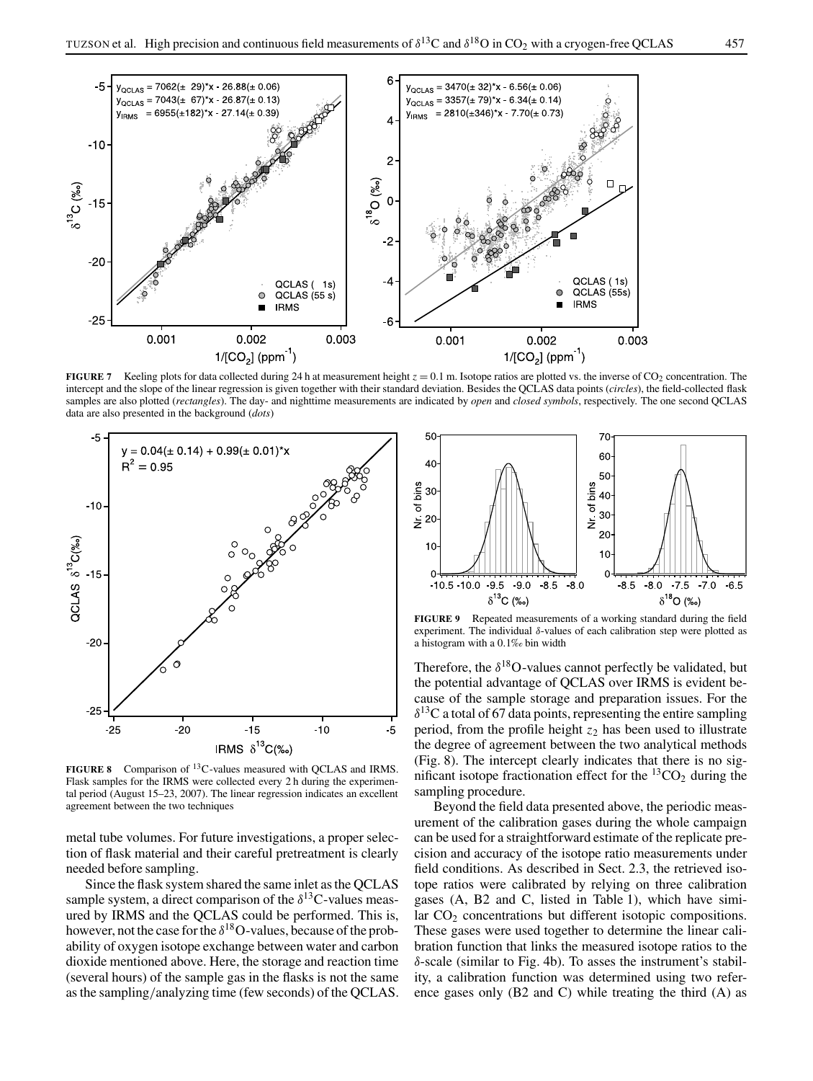

**FIGURE 7** Keeling plots for data collected during 24 h at measurement height  $z = 0.1$  m. Isotope ratios are plotted vs. the inverse of CO<sub>2</sub> concentration. The intercept and the slope of the linear regression is given together with their standard deviation. Besides the QCLAS data points (*circles*), the field-collected flask samples are also plotted (*rectangles*). The day- and nighttime measurements are indicated by *open* and *closed symbols*, respectively. The one second QCLAS data are also presented in the background (*dots*)



**FIGURE 8** Comparison of 13C-values measured with QCLAS and IRMS. Flask samples for the IRMS were collected every 2 h during the experimental period (August 15–23, 2007). The linear regression indicates an excellent agreement between the two techniques

metal tube volumes. For future investigations, a proper selection of flask material and their careful pretreatment is clearly needed before sampling.

Since the flask system shared the same inlet as the QCLAS sample system, a direct comparison of the  $\delta^{13}$ C-values measured by IRMS and the QCLAS could be performed. This is, however, not the case for the  $\delta^{18}$ O-values, because of the probability of oxygen isotope exchange between water and carbon dioxide mentioned above. Here, the storage and reaction time (several hours) of the sample gas in the flasks is not the same as the sampling/analyzing time (few seconds) of the QCLAS.



**FIGURE 9** Repeated measurements of a working standard during the field experiment. The individual  $\delta$ -values of each calibration step were plotted as a histogram with a 0.1*‰* bin width

Therefore, the  $\delta^{18}$ O-values cannot perfectly be validated, but the potential advantage of QCLAS over IRMS is evident because of the sample storage and preparation issues. For the  $\delta^{13}$ C a total of 67 data points, representing the entire sampling period, from the profile height *z*<sup>2</sup> has been used to illustrate the degree of agreement between the two analytical methods (Fig. 8). The intercept clearly indicates that there is no significant isotope fractionation effect for the  ${}^{13}CO_2$  during the sampling procedure.

Beyond the field data presented above, the periodic measurement of the calibration gases during the whole campaign can be used for a straightforward estimate of the replicate precision and accuracy of the isotope ratio measurements under field conditions. As described in Sect. 2.3, the retrieved isotope ratios were calibrated by relying on three calibration gases (A, B2 and C, listed in Table 1), which have similar CO<sub>2</sub> concentrations but different isotopic compositions. These gases were used together to determine the linear calibration function that links the measured isotope ratios to the δ-scale (similar to Fig. 4b). To asses the instrument's stability, a calibration function was determined using two reference gases only (B2 and C) while treating the third (A) as